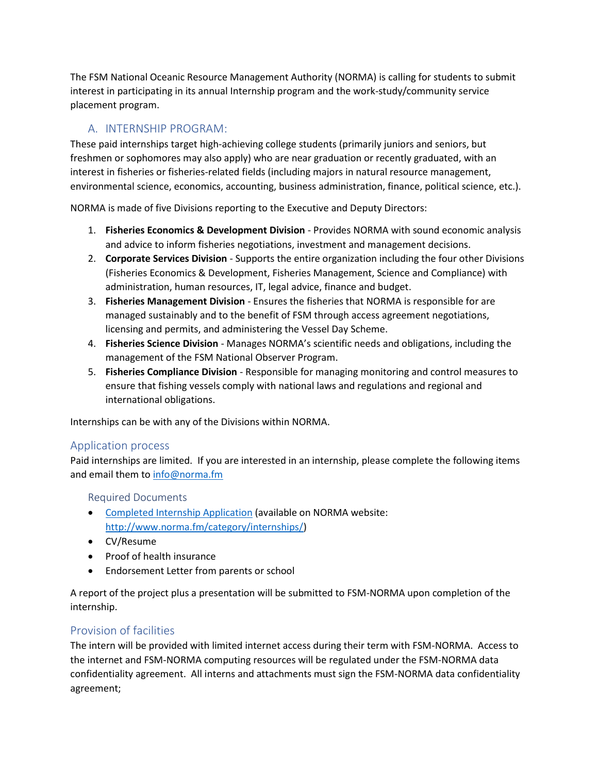The FSM National Oceanic Resource Management Authority (NORMA) is calling for students to submit interest in participating in its annual Internship program and the work-study/community service placement program.

# A. INTERNSHIP PROGRAM:

These paid internships target high-achieving college students (primarily juniors and seniors, but freshmen or sophomores may also apply) who are near graduation or recently graduated, with an interest in fisheries or fisheries-related fields (including majors in natural resource management, environmental science, economics, accounting, business administration, finance, political science, etc.).

NORMA is made of five Divisions reporting to the Executive and Deputy Directors:

- 1. **Fisheries Economics & Development Division** Provides NORMA with sound economic analysis and advice to inform fisheries negotiations, investment and management decisions.
- 2. **Corporate Services Division** Supports the entire organization including the four other Divisions (Fisheries Economics & Development, Fisheries Management, Science and Compliance) with administration, human resources, IT, legal advice, finance and budget.
- 3. **Fisheries Management Division** Ensures the fisheries that NORMA is responsible for are managed sustainably and to the benefit of FSM through access agreement negotiations, licensing and permits, and administering the Vessel Day Scheme.
- 4. **Fisheries Science Division** Manages NORMA's scientific needs and obligations, including the management of the FSM National Observer Program.
- 5. **Fisheries Compliance Division** Responsible for managing monitoring and control measures to ensure that fishing vessels comply with national laws and regulations and regional and international obligations.

Internships can be with any of the Divisions within NORMA.

### Application process

Paid internships are limited. If you are interested in an internship, please complete the following items and email them t[o info@norma.fm](mailto:info@norma.fm) 

### Required Documents

- [Completed Internship Application](https://www.norma.fm/wp-content/uploads/2021/06/NORMA-Internship-Application-final.pdf) (available on NORMA website: [http://www.norma.fm/category/internships/\)](http://www.norma.fm/category/internships/)
- CV/Resume
- Proof of health insurance
- Endorsement Letter from parents or school

A report of the project plus a presentation will be submitted to FSM-NORMA upon completion of the internship.

## Provision of facilities

The intern will be provided with limited internet access during their term with FSM-NORMA. Access to the internet and FSM-NORMA computing resources will be regulated under the FSM-NORMA data confidentiality agreement. All interns and attachments must sign the FSM-NORMA data confidentiality agreement;